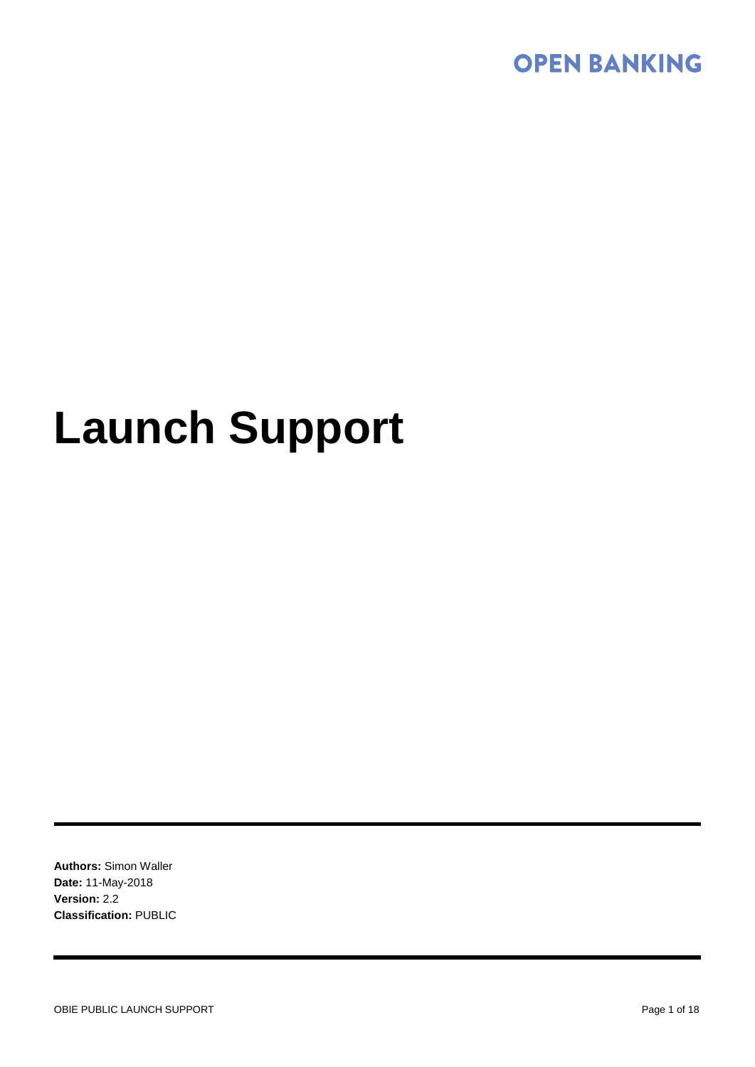

# **Launch Support**

**Authors:** Simon Waller **Date:** 11-May-2018 **Version:** 2.2 **Classification:** PUBLIC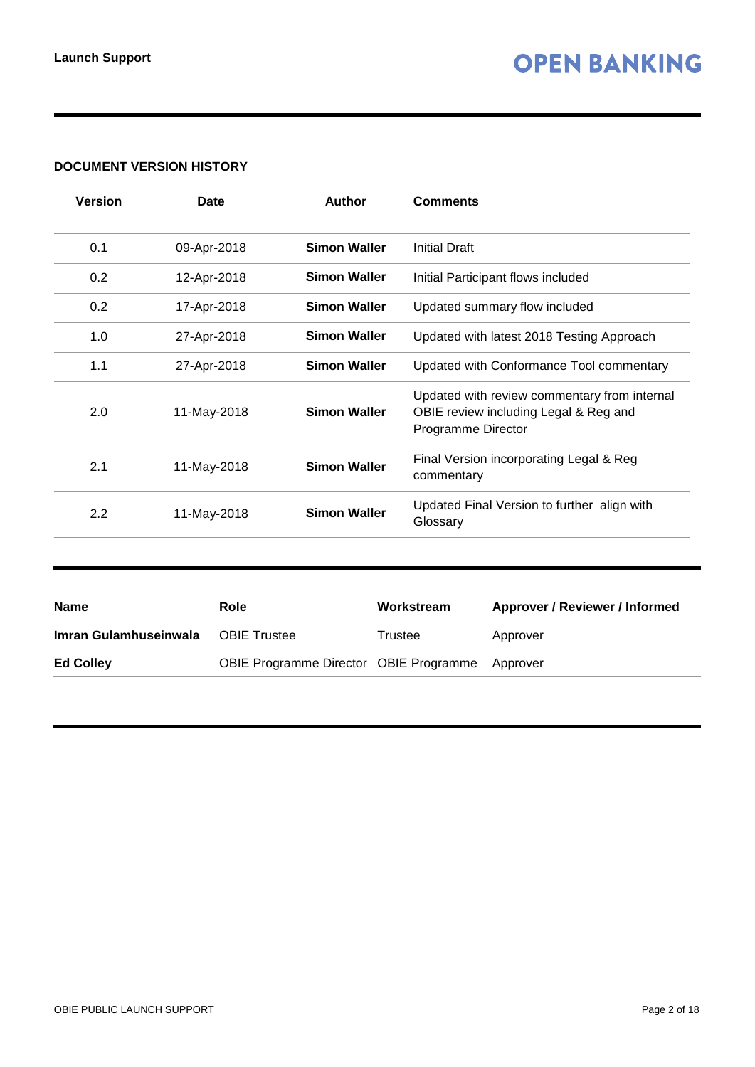#### **DOCUMENT VERSION HISTORY**

| Version | Date        | <b>Author</b>       | <b>Comments</b>                                                                                             |
|---------|-------------|---------------------|-------------------------------------------------------------------------------------------------------------|
| 0.1     | 09-Apr-2018 | <b>Simon Waller</b> | Initial Draft                                                                                               |
| 0.2     | 12-Apr-2018 | <b>Simon Waller</b> | Initial Participant flows included                                                                          |
| 0.2     | 17-Apr-2018 | <b>Simon Waller</b> | Updated summary flow included                                                                               |
| 1.0     | 27-Apr-2018 | <b>Simon Waller</b> | Updated with latest 2018 Testing Approach                                                                   |
| 1.1     | 27-Apr-2018 | <b>Simon Waller</b> | Updated with Conformance Tool commentary                                                                    |
| 2.0     | 11-May-2018 | <b>Simon Waller</b> | Updated with review commentary from internal<br>OBIE review including Legal & Reg and<br>Programme Director |
| 2.1     | 11-May-2018 | <b>Simon Waller</b> | Final Version incorporating Legal & Reg<br>commentary                                                       |
| 2.2     | 11-May-2018 | <b>Simon Waller</b> | Updated Final Version to further align with<br>Glossary                                                     |
|         |             |                     |                                                                                                             |

| <b>Name</b>           | Role                                            | Workstream | Approver / Reviewer / Informed |
|-----------------------|-------------------------------------------------|------------|--------------------------------|
| Imran Gulamhuseinwala | <b>OBIE Trustee</b>                             | Trustee    | Approver                       |
| <b>Ed Colley</b>      | OBIE Programme Director OBIE Programme Approver |            |                                |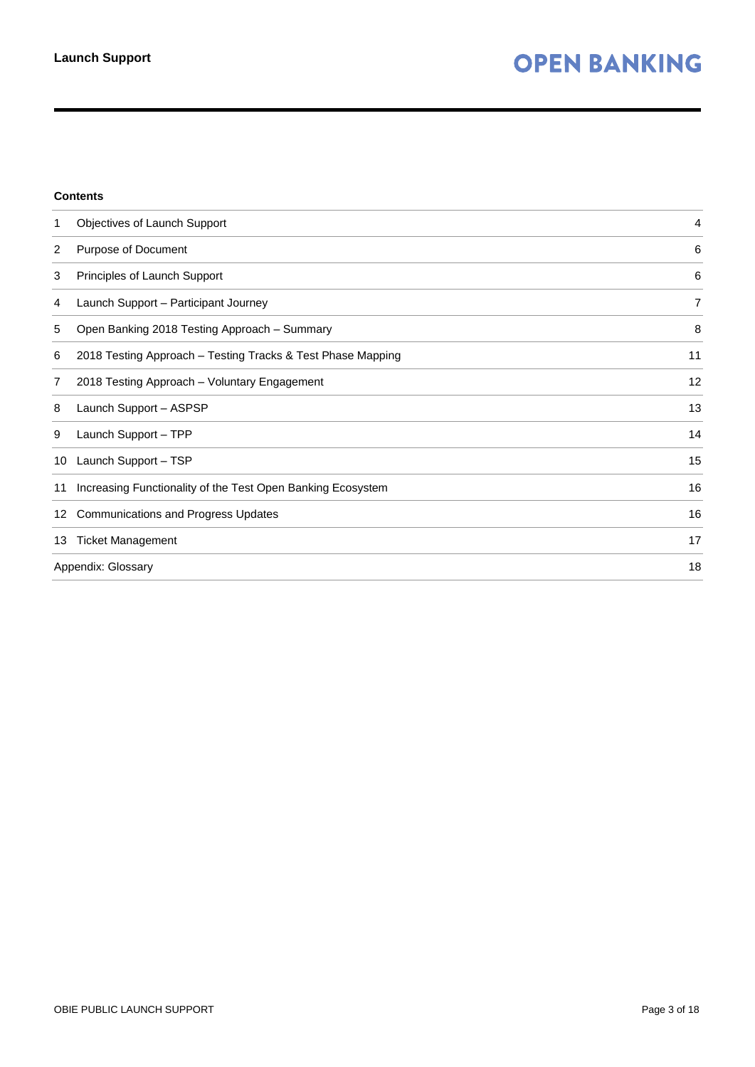#### **Contents**

| 1  | Objectives of Launch Support                                | 4              |
|----|-------------------------------------------------------------|----------------|
| 2  | Purpose of Document                                         | 6              |
| 3  | Principles of Launch Support                                | 6              |
| 4  | Launch Support - Participant Journey                        | $\overline{7}$ |
| 5  | Open Banking 2018 Testing Approach - Summary                | 8              |
| 6  | 2018 Testing Approach – Testing Tracks & Test Phase Mapping | 11             |
| 7  | 2018 Testing Approach - Voluntary Engagement                | 12             |
| 8  | Launch Support - ASPSP                                      | 13             |
| 9  | Launch Support - TPP                                        | 14             |
| 10 | Launch Support - TSP                                        | 15             |
| 11 | Increasing Functionality of the Test Open Banking Ecosystem | 16             |
| 12 | <b>Communications and Progress Updates</b>                  | 16             |
| 13 | <b>Ticket Management</b>                                    | 17             |
|    | Appendix: Glossary                                          | 18             |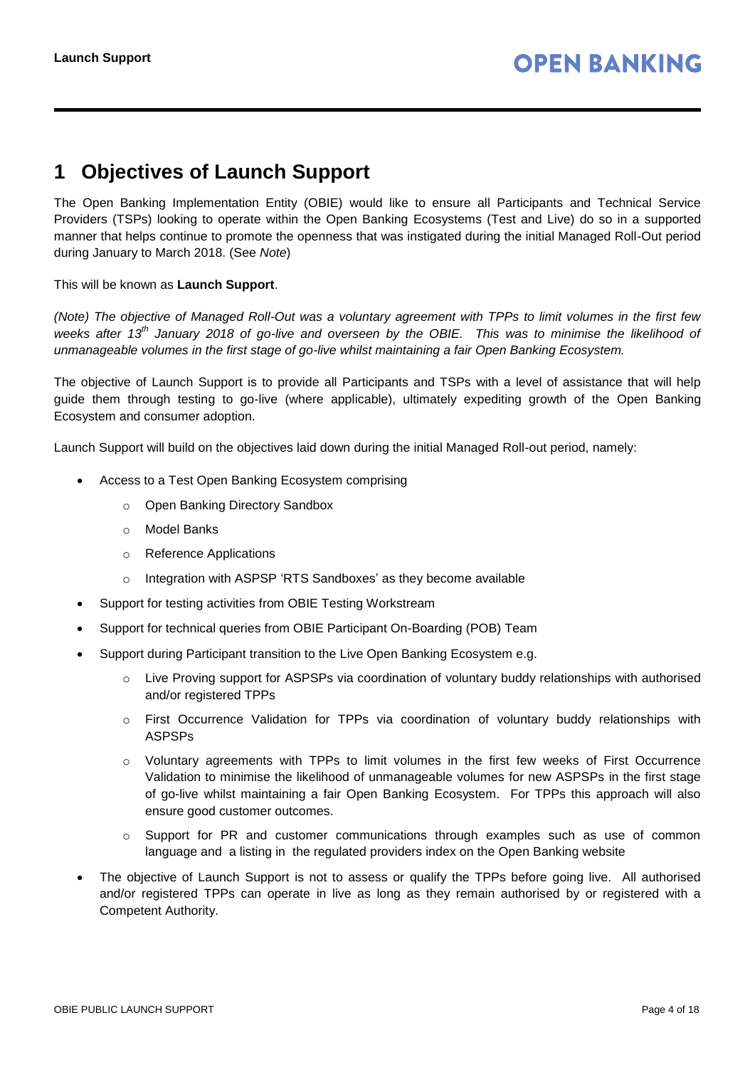### <span id="page-3-0"></span>**1 Objectives of Launch Support**

The Open Banking Implementation Entity (OBIE) would like to ensure all Participants and Technical Service Providers (TSPs) looking to operate within the Open Banking Ecosystems (Test and Live) do so in a supported manner that helps continue to promote the openness that was instigated during the initial Managed Roll-Out period during January to March 2018. (See *Note*)

This will be known as **Launch Support**.

*(Note) The objective of Managed Roll-Out was a voluntary agreement with TPPs to limit volumes in the first few weeks after 13th January 2018 of go-live and overseen by the OBIE. This was to minimise the likelihood of unmanageable volumes in the first stage of go-live whilst maintaining a fair Open Banking Ecosystem.*

The objective of Launch Support is to provide all Participants and TSPs with a level of assistance that will help guide them through testing to go-live (where applicable), ultimately expediting growth of the Open Banking Ecosystem and consumer adoption.

Launch Support will build on the objectives laid down during the initial Managed Roll-out period, namely:

- Access to a Test Open Banking Ecosystem comprising
	- o Open Banking Directory Sandbox
	- o Model Banks
	- o Reference Applications
	- o Integration with ASPSP 'RTS Sandboxes' as they become available
- Support for testing activities from OBIE Testing Workstream
- Support for technical queries from OBIE Participant On-Boarding (POB) Team
- Support during Participant transition to the Live Open Banking Ecosystem e.g.
	- $\circ$  Live Proving support for ASPSPs via coordination of voluntary buddy relationships with authorised and/or registered TPPs
	- o First Occurrence Validation for TPPs via coordination of voluntary buddy relationships with ASPSPs
	- o Voluntary agreements with TPPs to limit volumes in the first few weeks of First Occurrence Validation to minimise the likelihood of unmanageable volumes for new ASPSPs in the first stage of go-live whilst maintaining a fair Open Banking Ecosystem. For TPPs this approach will also ensure good customer outcomes.
	- $\circ$  Support for PR and customer communications through examples such as use of common language and a listing in the regulated providers index on the Open Banking website
- The objective of Launch Support is not to assess or qualify the TPPs before going live. All authorised and/or registered TPPs can operate in live as long as they remain authorised by or registered with a Competent Authority.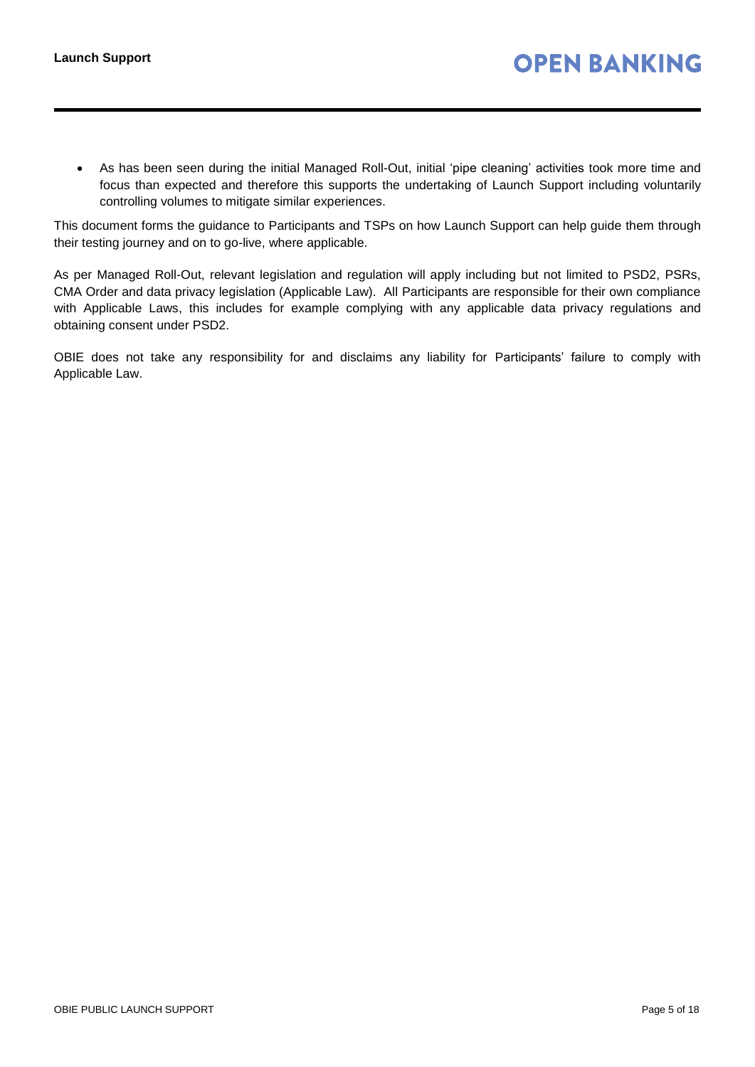As has been seen during the initial Managed Roll-Out, initial 'pipe cleaning' activities took more time and focus than expected and therefore this supports the undertaking of Launch Support including voluntarily controlling volumes to mitigate similar experiences.

This document forms the guidance to Participants and TSPs on how Launch Support can help guide them through their testing journey and on to go-live, where applicable.

As per Managed Roll-Out, relevant legislation and regulation will apply including but not limited to PSD2, PSRs, CMA Order and data privacy legislation (Applicable Law). All Participants are responsible for their own compliance with Applicable Laws, this includes for example complying with any applicable data privacy regulations and obtaining consent under PSD2.

OBIE does not take any responsibility for and disclaims any liability for Participants' failure to comply with Applicable Law.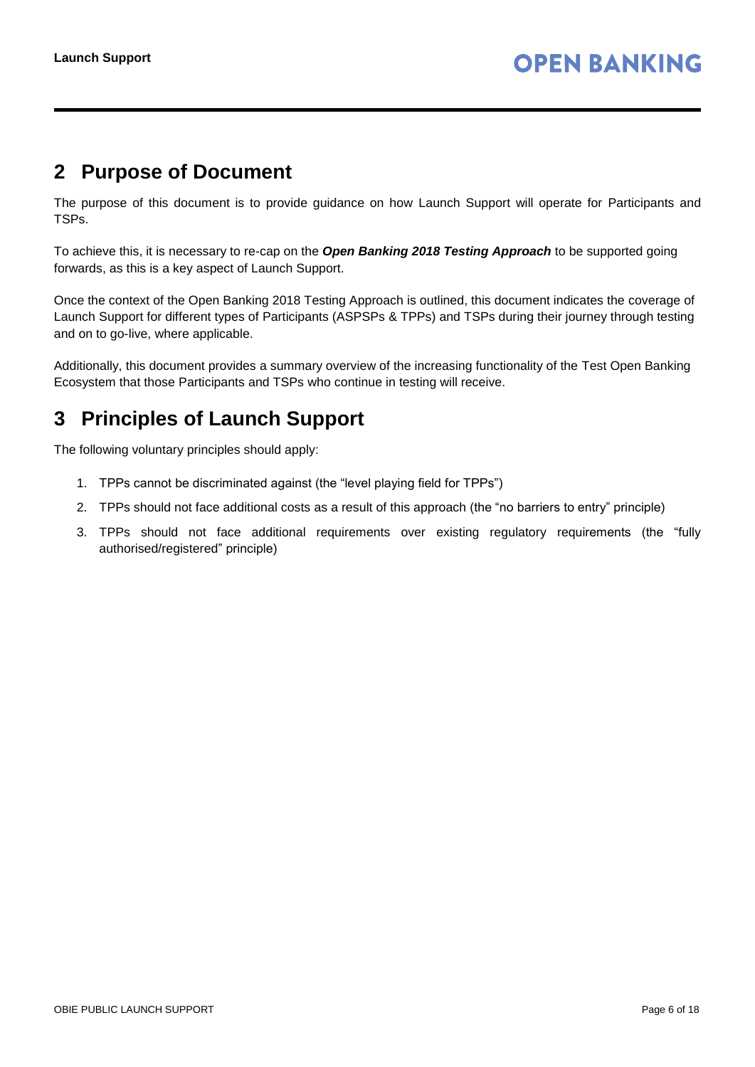### <span id="page-5-0"></span>**2 Purpose of Document**

The purpose of this document is to provide guidance on how Launch Support will operate for Participants and TSPs.

To achieve this, it is necessary to re-cap on the *Open Banking 2018 Testing Approach* to be supported going forwards, as this is a key aspect of Launch Support.

Once the context of the Open Banking 2018 Testing Approach is outlined, this document indicates the coverage of Launch Support for different types of Participants (ASPSPs & TPPs) and TSPs during their journey through testing and on to go-live, where applicable.

Additionally, this document provides a summary overview of the increasing functionality of the Test Open Banking Ecosystem that those Participants and TSPs who continue in testing will receive.

# <span id="page-5-1"></span>**3 Principles of Launch Support**

The following voluntary principles should apply:

- 1. TPPs cannot be discriminated against (the "level playing field for TPPs")
- 2. TPPs should not face additional costs as a result of this approach (the "no barriers to entry" principle)
- 3. TPPs should not face additional requirements over existing regulatory requirements (the "fully authorised/registered" principle)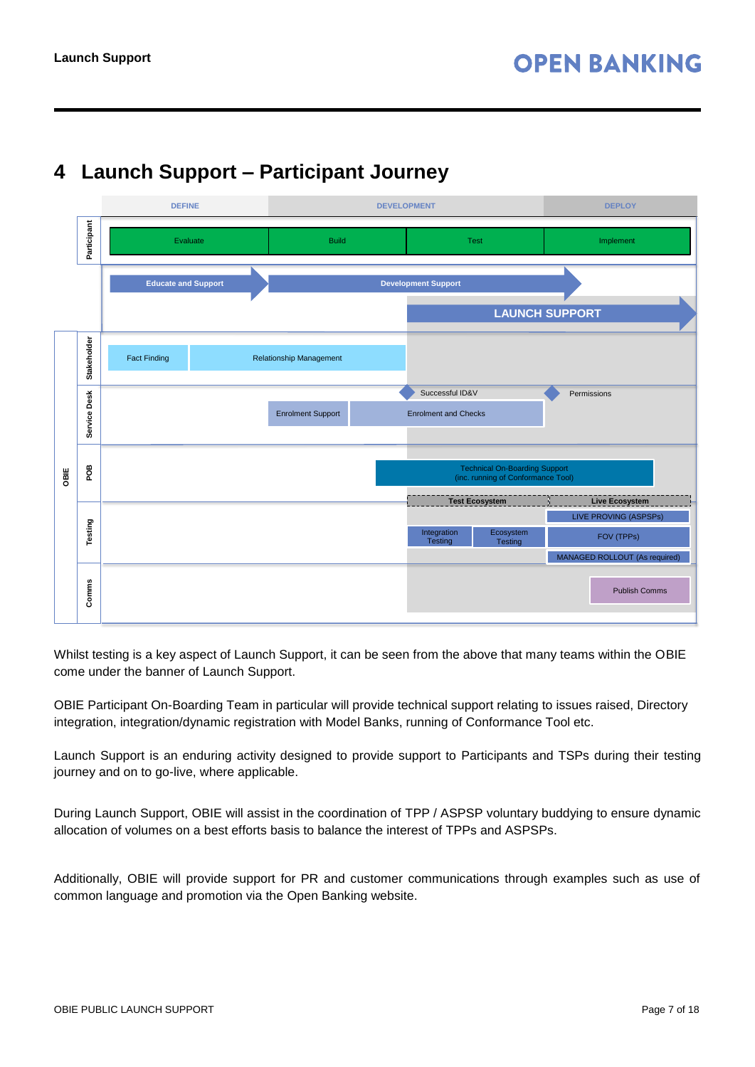# <span id="page-6-0"></span>**4 Launch Support – Participant Journey**



Whilst testing is a key aspect of Launch Support, it can be seen from the above that many teams within the OBIE come under the banner of Launch Support.

OBIE Participant On-Boarding Team in particular will provide technical support relating to issues raised, Directory integration, integration/dynamic registration with Model Banks, running of Conformance Tool etc.

Launch Support is an enduring activity designed to provide support to Participants and TSPs during their testing journey and on to go-live, where applicable.

During Launch Support, OBIE will assist in the coordination of TPP / ASPSP voluntary buddying to ensure dynamic allocation of volumes on a best efforts basis to balance the interest of TPPs and ASPSPs.

Additionally, OBIE will provide support for PR and customer communications through examples such as use of common language and promotion via the Open Banking website.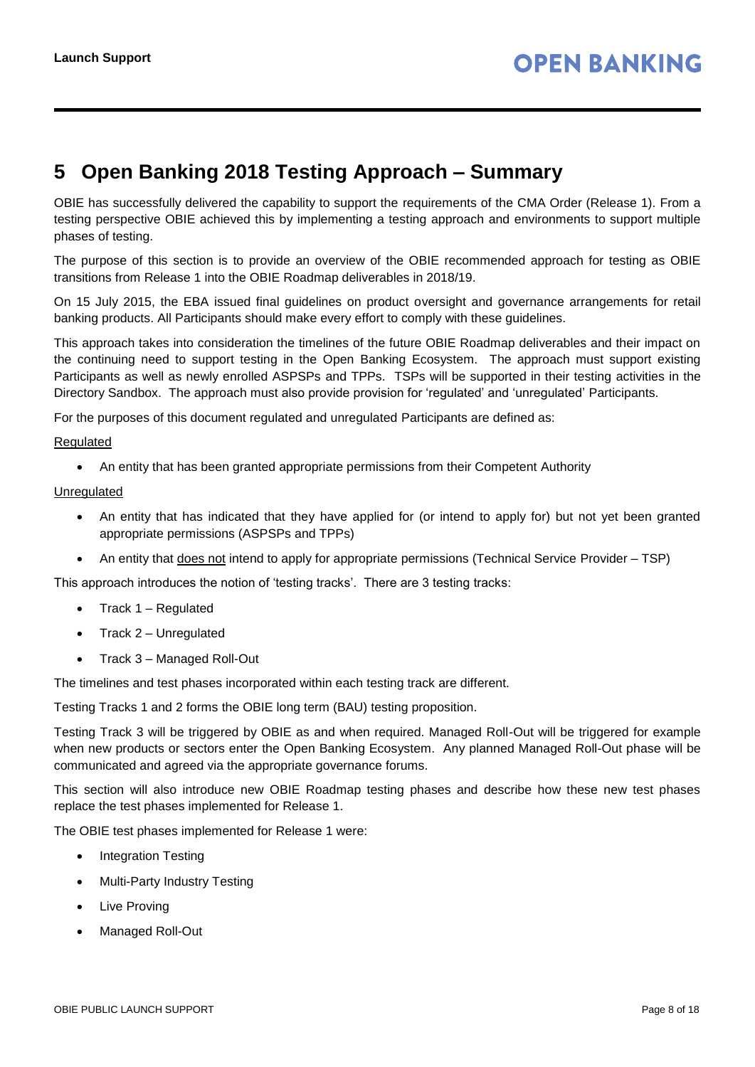# <span id="page-7-0"></span>**5 Open Banking 2018 Testing Approach – Summary**

OBIE has successfully delivered the capability to support the requirements of the CMA Order (Release 1). From a testing perspective OBIE achieved this by implementing a testing approach and environments to support multiple phases of testing.

The purpose of this section is to provide an overview of the OBIE recommended approach for testing as OBIE transitions from Release 1 into the OBIE Roadmap deliverables in 2018/19.

On 15 July 2015, the EBA issued final guidelines on product oversight and governance arrangements for retail banking products. All Participants should make every effort to comply with these guidelines.

This approach takes into consideration the timelines of the future OBIE Roadmap deliverables and their impact on the continuing need to support testing in the Open Banking Ecosystem. The approach must support existing Participants as well as newly enrolled ASPSPs and TPPs. TSPs will be supported in their testing activities in the Directory Sandbox. The approach must also provide provision for 'regulated' and 'unregulated' Participants.

For the purposes of this document regulated and unregulated Participants are defined as:

#### Regulated

An entity that has been granted appropriate permissions from their Competent Authority

Unregulated

- An entity that has indicated that they have applied for (or intend to apply for) but not yet been granted appropriate permissions (ASPSPs and TPPs)
- An entity that does not intend to apply for appropriate permissions (Technical Service Provider TSP)

This approach introduces the notion of 'testing tracks'. There are 3 testing tracks:

- $\bullet$  Track 1 Regulated
- Track 2 Unregulated
- Track 3 Managed Roll-Out

The timelines and test phases incorporated within each testing track are different.

Testing Tracks 1 and 2 forms the OBIE long term (BAU) testing proposition.

Testing Track 3 will be triggered by OBIE as and when required. Managed Roll-Out will be triggered for example when new products or sectors enter the Open Banking Ecosystem. Any planned Managed Roll-Out phase will be communicated and agreed via the appropriate governance forums.

This section will also introduce new OBIE Roadmap testing phases and describe how these new test phases replace the test phases implemented for Release 1.

The OBIE test phases implemented for Release 1 were:

- Integration Testing
- Multi-Party Industry Testing
- Live Proving
- Managed Roll-Out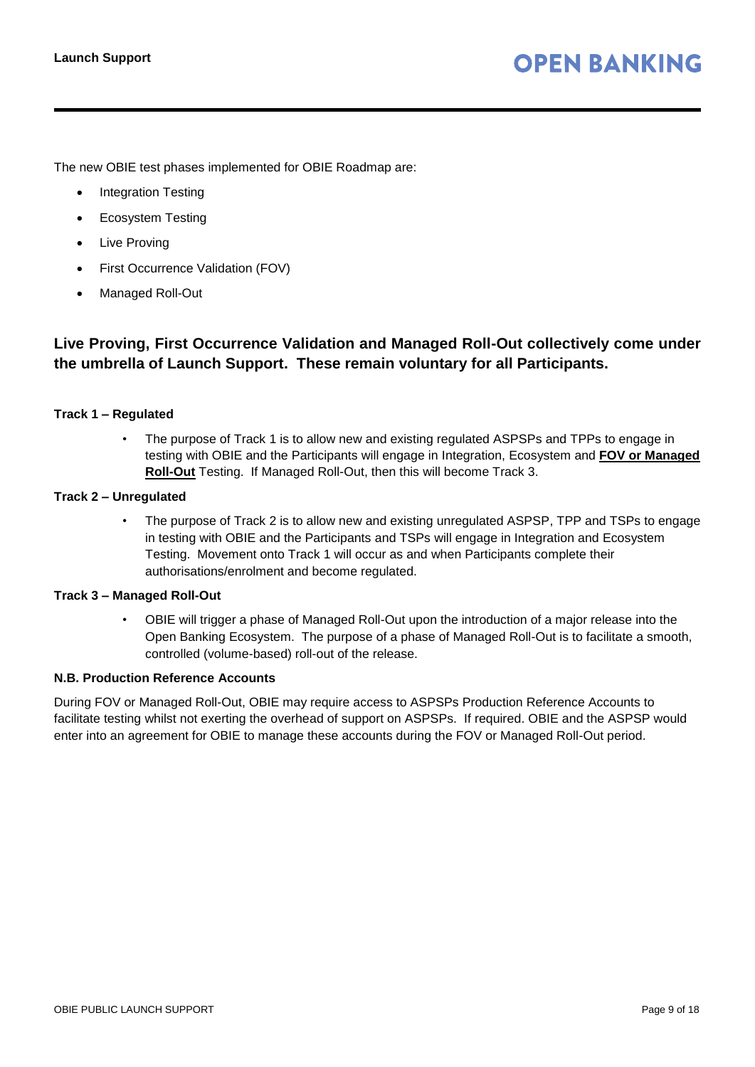The new OBIE test phases implemented for OBIE Roadmap are:

- Integration Testing
- Ecosystem Testing
- Live Proving
- First Occurrence Validation (FOV)
- Managed Roll-Out

#### **Live Proving, First Occurrence Validation and Managed Roll-Out collectively come under the umbrella of Launch Support. These remain voluntary for all Participants.**

#### **Track 1 – Regulated**

• The purpose of Track 1 is to allow new and existing regulated ASPSPs and TPPs to engage in testing with OBIE and the Participants will engage in Integration, Ecosystem and **FOV or Managed Roll-Out** Testing. If Managed Roll-Out, then this will become Track 3.

#### **Track 2 – Unregulated**

• The purpose of Track 2 is to allow new and existing unregulated ASPSP, TPP and TSPs to engage in testing with OBIE and the Participants and TSPs will engage in Integration and Ecosystem Testing. Movement onto Track 1 will occur as and when Participants complete their authorisations/enrolment and become regulated.

#### **Track 3 – Managed Roll-Out**

• OBIE will trigger a phase of Managed Roll-Out upon the introduction of a major release into the Open Banking Ecosystem. The purpose of a phase of Managed Roll-Out is to facilitate a smooth, controlled (volume-based) roll-out of the release.

#### **N.B. Production Reference Accounts**

During FOV or Managed Roll-Out, OBIE may require access to ASPSPs Production Reference Accounts to facilitate testing whilst not exerting the overhead of support on ASPSPs. If required. OBIE and the ASPSP would enter into an agreement for OBIE to manage these accounts during the FOV or Managed Roll-Out period.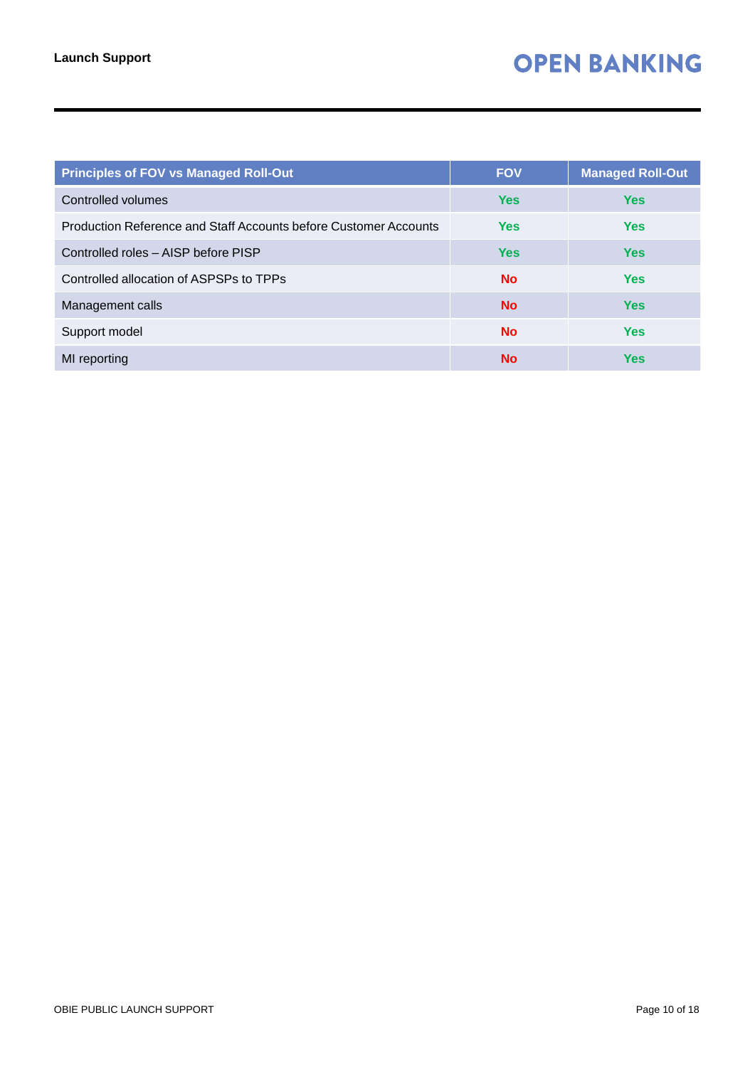| <b>Principles of FOV vs Managed Roll-Out</b>                     | <b>FOV</b> | <b>Managed Roll-Out</b> |
|------------------------------------------------------------------|------------|-------------------------|
| Controlled volumes                                               | <b>Yes</b> | <b>Yes</b>              |
| Production Reference and Staff Accounts before Customer Accounts | <b>Yes</b> | <b>Yes</b>              |
| Controlled roles - AISP before PISP                              | <b>Yes</b> | <b>Yes</b>              |
| Controlled allocation of ASPSPs to TPPs                          | <b>No</b>  | <b>Yes</b>              |
| Management calls                                                 | <b>No</b>  | <b>Yes</b>              |
| Support model                                                    | <b>No</b>  | <b>Yes</b>              |
| MI reporting                                                     | <b>No</b>  | <b>Yes</b>              |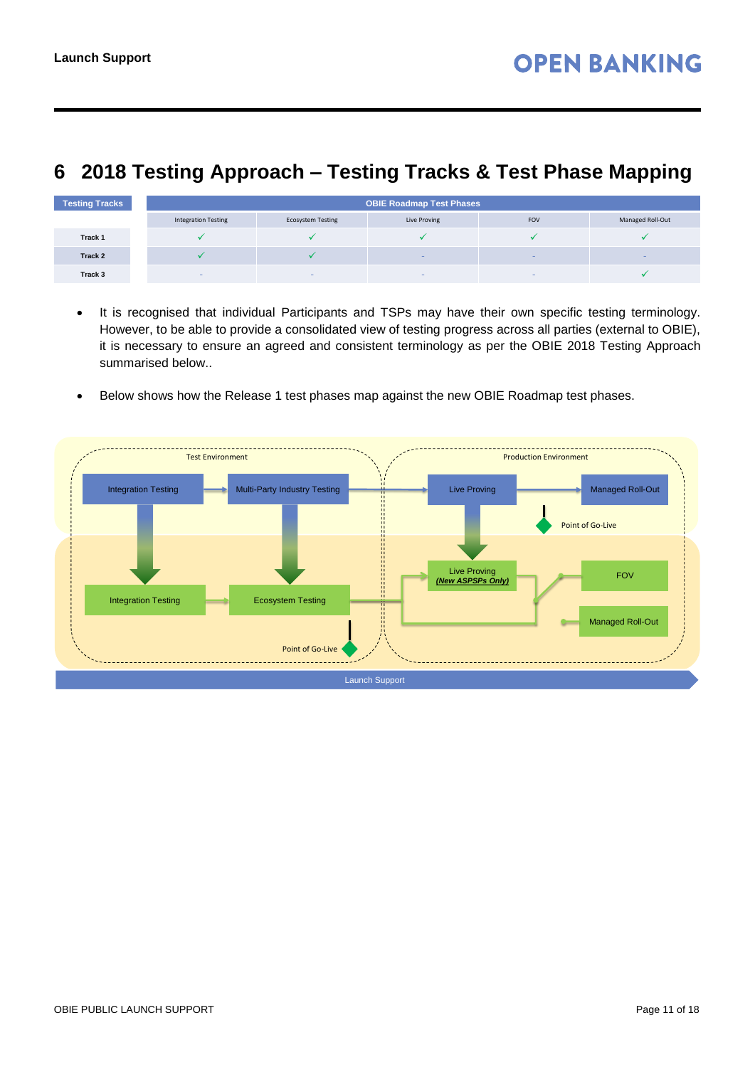## <span id="page-10-0"></span>**6 2018 Testing Approach – Testing Tracks & Test Phase Mapping**

| <b>Testing Tracks</b> | <b>OBIE Roadmap Test Phases</b> |                          |                          |            |                  |
|-----------------------|---------------------------------|--------------------------|--------------------------|------------|------------------|
|                       | <b>Integration Testing</b>      | <b>Ecosystem Testing</b> | Live Proving             | <b>FOV</b> | Managed Roll-Out |
| Track 1               |                                 |                          |                          |            |                  |
| Track 2               |                                 |                          |                          | $\sim$     |                  |
| Track 3               |                                 |                          | $\overline{\phantom{a}}$ |            |                  |

- It is recognised that individual Participants and TSPs may have their own specific testing terminology. However, to be able to provide a consolidated view of testing progress across all parties (external to OBIE), it is necessary to ensure an agreed and consistent terminology as per the OBIE 2018 Testing Approach summarised below..
- Below shows how the Release 1 test phases map against the new OBIE Roadmap test phases.

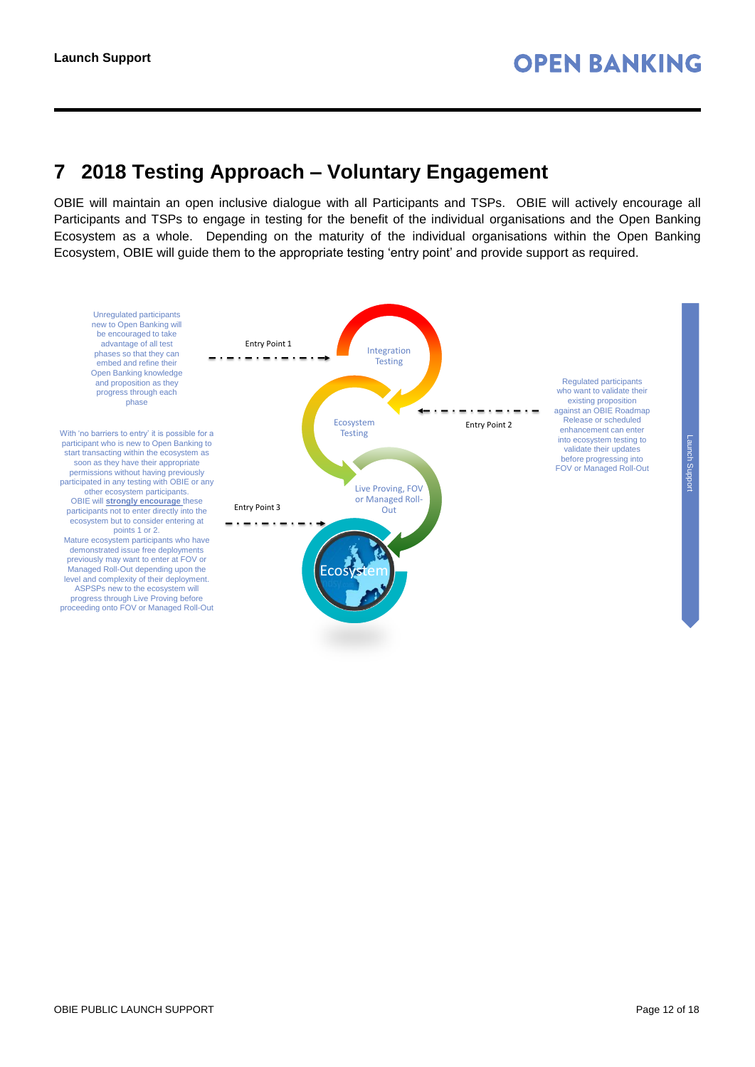### <span id="page-11-0"></span>**7 2018 Testing Approach – Voluntary Engagement**

OBIE will maintain an open inclusive dialogue with all Participants and TSPs. OBIE will actively encourage all Participants and TSPs to engage in testing for the benefit of the individual organisations and the Open Banking Ecosystem as a whole. Depending on the maturity of the individual organisations within the Open Banking Ecosystem, OBIE will guide them to the appropriate testing 'entry point' and provide support as required.

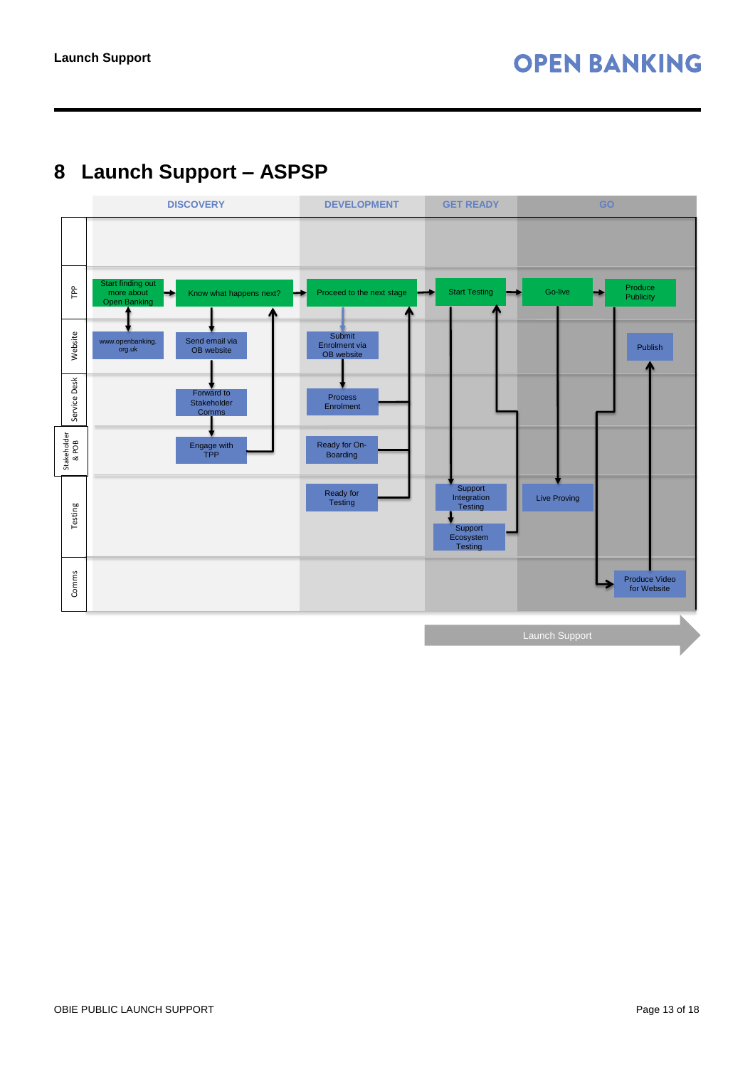# <span id="page-12-0"></span>**8 Launch Support – ASPSP**

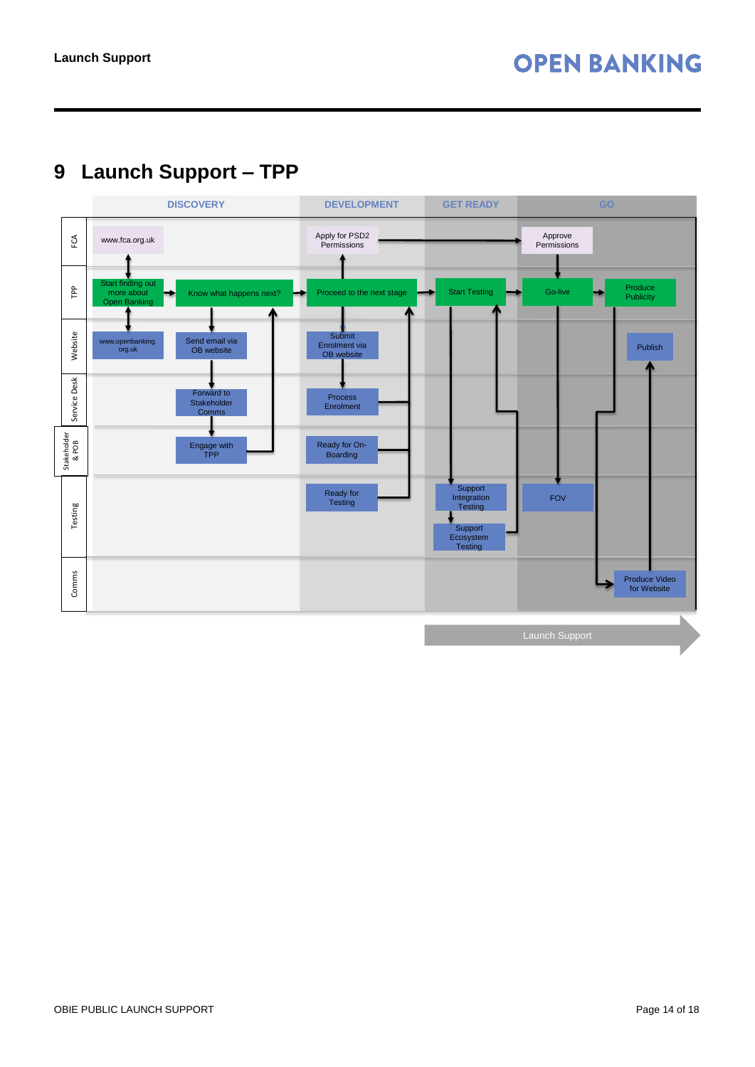# <span id="page-13-0"></span>**9 Launch Support – TPP**

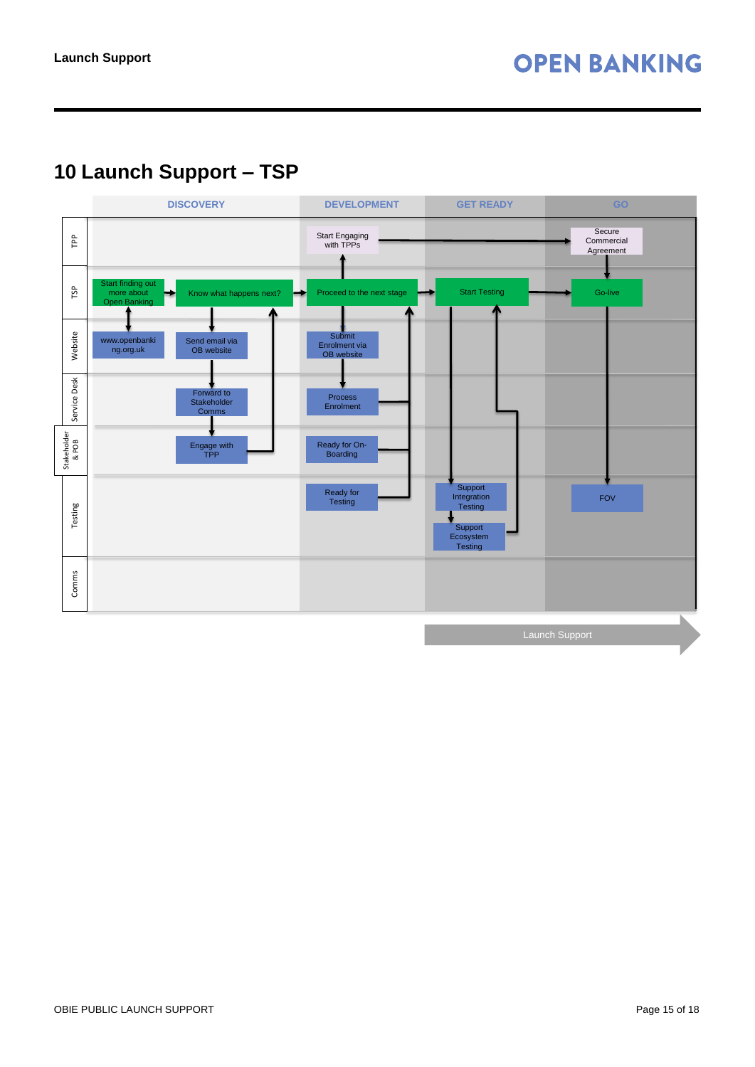# <span id="page-14-0"></span>**10 Launch Support – TSP**

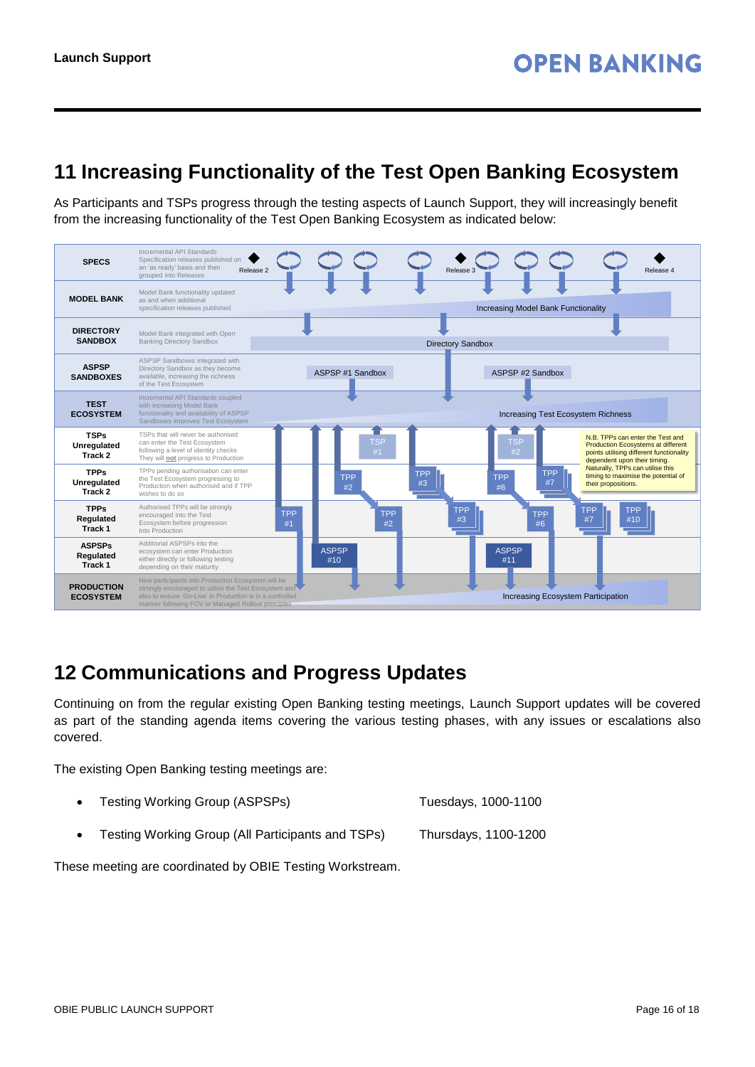### <span id="page-15-0"></span>**11 Increasing Functionality of the Test Open Banking Ecosystem**

As Participants and TSPs progress through the testing aspects of Launch Support, they will increasingly benefit from the increasing functionality of the Test Open Banking Ecosystem as indicated below:



### <span id="page-15-1"></span>**12 Communications and Progress Updates**

Continuing on from the regular existing Open Banking testing meetings, Launch Support updates will be covered as part of the standing agenda items covering the various testing phases, with any issues or escalations also covered.

The existing Open Banking testing meetings are:

|  | Testing Working Group (ASPSPs) |  | Tuesdays, 1000-1100 |
|--|--------------------------------|--|---------------------|
|--|--------------------------------|--|---------------------|

Testing Working Group (All Participants and TSPs) Thursdays, 1100-1200

These meeting are coordinated by OBIE Testing Workstream.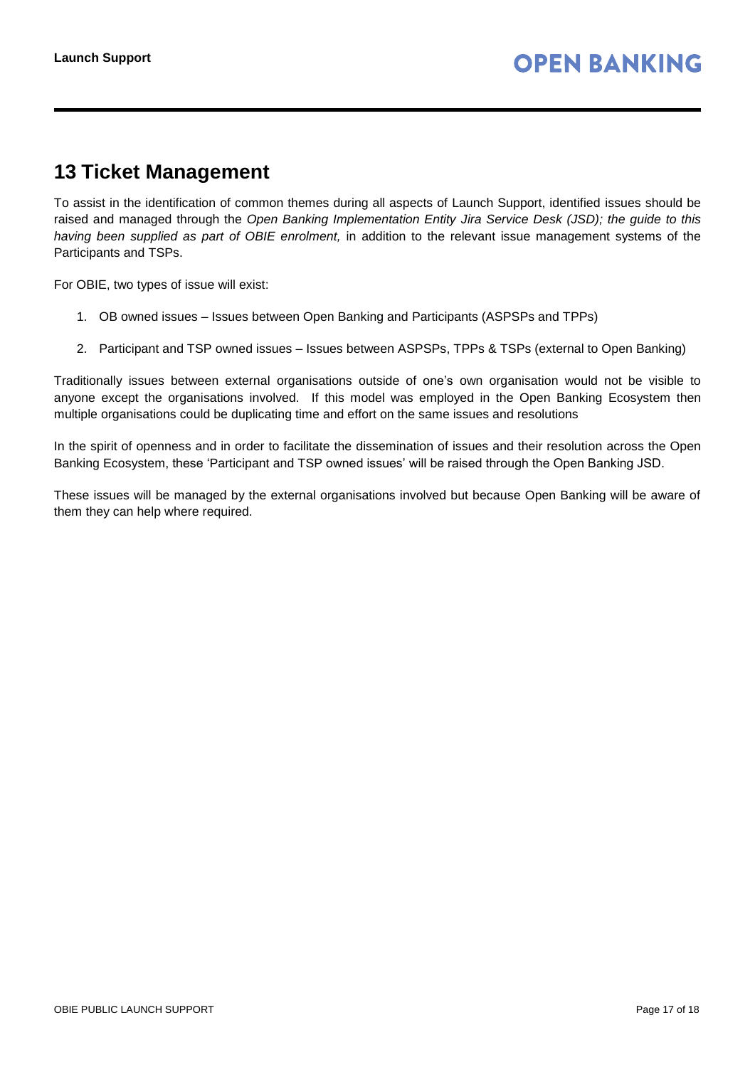### <span id="page-16-0"></span>**13 Ticket Management**

To assist in the identification of common themes during all aspects of Launch Support, identified issues should be raised and managed through the *Open Banking Implementation Entity Jira Service Desk (JSD); the guide to this having been supplied as part of OBIE enrolment,* in addition to the relevant issue management systems of the Participants and TSPs.

For OBIE, two types of issue will exist:

- 1. OB owned issues Issues between Open Banking and Participants (ASPSPs and TPPs)
- 2. Participant and TSP owned issues Issues between ASPSPs, TPPs & TSPs (external to Open Banking)

Traditionally issues between external organisations outside of one's own organisation would not be visible to anyone except the organisations involved. If this model was employed in the Open Banking Ecosystem then multiple organisations could be duplicating time and effort on the same issues and resolutions

In the spirit of openness and in order to facilitate the dissemination of issues and their resolution across the Open Banking Ecosystem, these 'Participant and TSP owned issues' will be raised through the Open Banking JSD.

These issues will be managed by the external organisations involved but because Open Banking will be aware of them they can help where required.